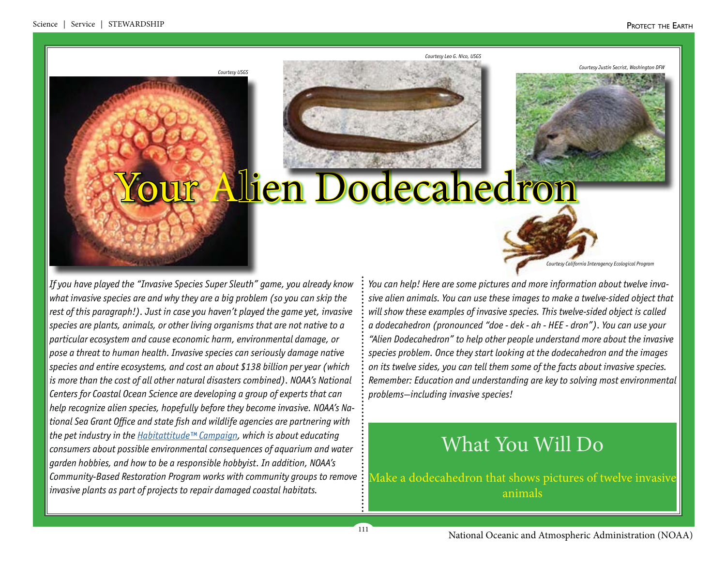*Courtesy Justin Secrist, Washington DFW*

*Courtesy Leo G. Nico, USG.* 



# Alien Dodecahedron

*If you have played the "Invasive Species Super Sleuth" game, you already know what invasive species are and why they are a big problem (so you can skip the rest of this paragraph!). Just in case you haven't played the game yet, invasive species are plants, animals, or other living organisms that are not native to a particular ecosystem and cause economic harm, environmental damage, or pose a threat to human health. Invasive species can seriously damage native species and entire ecosystems, and cost an about \$138 billion per year (which is more than the cost of all other natural disasters combined). NOAA's National Centers for Coastal Ocean Science are developing a group of experts that can help recognize alien species, hopefully before they become invasive. NOAA's National Sea Grant Office and state fish and wildlife agencies are partnering with the pet industry in the [Habitattitude™ Campaign](https://www.habitattitude.net/), which is about educating consumers about possible environmental consequences of aquarium and water garden hobbies, and how to be a responsible hobbyist. In addition, NOAA's Community-Based Restoration Program works with community groups to remove invasive plants as part of projects to repair damaged coastal habitats.*

*Courtesy USGS*

*Courtesy California Interagency Ecological Program*

*You can help! Here are some pictures and more information about twelve invasive alien animals. You can use these images to make a twelve-sided object that will show these examples of invasive species. This twelve-sided object is called a dodecahedron (pronounced "doe - dek - ah - HEE - dron"). You can use your "Alien Dodecahedron" to help other people understand more about the invasive species problem. Once they start looking at the dodecahedron and the images on its twelve sides, you can tell them some of the facts about invasive species. Remember: Education and understanding are key to solving most environmental problems—including invasive species!* 

## What You Will Do

Make a dodecahedron that shows pictures of twelve invasive animals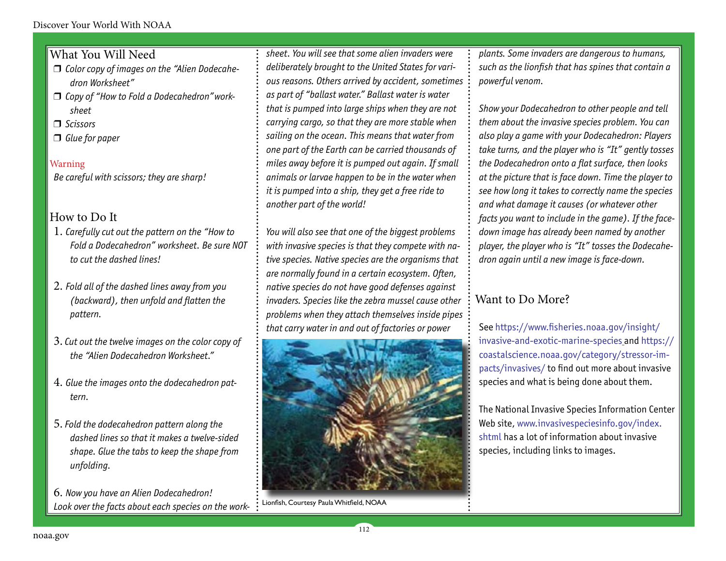### What You Will Need

- □ Color copy of images on the "Alien Dodecahe*dron Worksheet"*
- □ Copy of "How to Fold a Dodecahedron" work*sheet*
- r *Scissors*
- $\Box$  Glue for paper

### Warning

*Be careful with scissors; they are sharp!*

### How to Do It

- 1. *Carefully cut out the pattern on the "How to Fold a Dodecahedron" worksheet. Be sure NOT to cut the dashed lines!*
- 2. *Fold all of the dashed lines away from you (backward), then unfold and flatten the pattern.*
- 3. *Cut out the twelve images on the color copy of the "Alien Dodecahedron Worksheet."*
- 4. *Glue the images onto the dodecahedron pattern.*
- 5. *Fold the dodecahedron pattern along the dashed lines so that it makes a twelve-sided shape. Glue the tabs to keep the shape from unfolding.*

6. *Now you have an Alien Dodecahedron! Look over the facts about each species on the work-*

*sheet. You will see that some alien invaders were deliberately brought to the United States for various reasons. Others arrived by accident, sometimes as part of "ballast water." Ballast water is water that is pumped into large ships when they are not carrying cargo, so that they are more stable when sailing on the ocean. This means that water from one part of the Earth can be carried thousands of miles away before it is pumped out again. If small animals or larvae happen to be in the water when it is pumped into a ship, they get a free ride to another part of the world!* 

*You will also see that one of the biggest problems with invasive species is that they compete with native species. Native species are the organisms that are normally found in a certain ecosystem. Often, native species do not have good defenses against invaders. Species like the zebra mussel cause other problems when they attach themselves inside pipes that carry water in and out of factories or power* 



112

Lionfish, Courtesy Paula Whitfield, NOAA

*plants. Some invaders are dangerous to humans, such as the lionfish that has spines that contain a powerful venom.*

*Show your Dodecahedron to other people and tell them about the invasive species problem. You can also play a game with your Dodecahedron: Players take turns, and the player who is "It" gently tosses the Dodecahedron onto a flat surface, then looks at the picture that is face down. Time the player to see how long it takes to correctly name the species and what damage it causes (or whatever other facts you want to include in the game). If the facedown image has already been named by another player, the player who is "It" tosses the Dodecahedron again until a new image is face-down.*

## Want to Do More?

See [https://www.fisheries.noaa.gov/insight/](https://www.fisheries.noaa.gov/insight/invasive-and-exotic-marine-species) [invasive-and-exotic-marine-species](https://www.fisheries.noaa.gov/insight/invasive-and-exotic-marine-species) and [https://](https://coastalscience.noaa.gov/category/stressor-impacts/invasives/) [coastalscience.noaa.gov/category/stressor-im](https://coastalscience.noaa.gov/category/stressor-impacts/invasives/)[pacts/invasives/](https://coastalscience.noaa.gov/category/stressor-impacts/invasives/) to find out more about invasive species and what is being done about them.

The National Invasive Species Information Center Web site, [www.invasivespeciesinfo.gov/index.](http://www.invasivespeciesinfo.gov/index.shtml) [shtml](http://www.invasivespeciesinfo.gov/index.shtml) has a lot of information about invasive species, including links to images.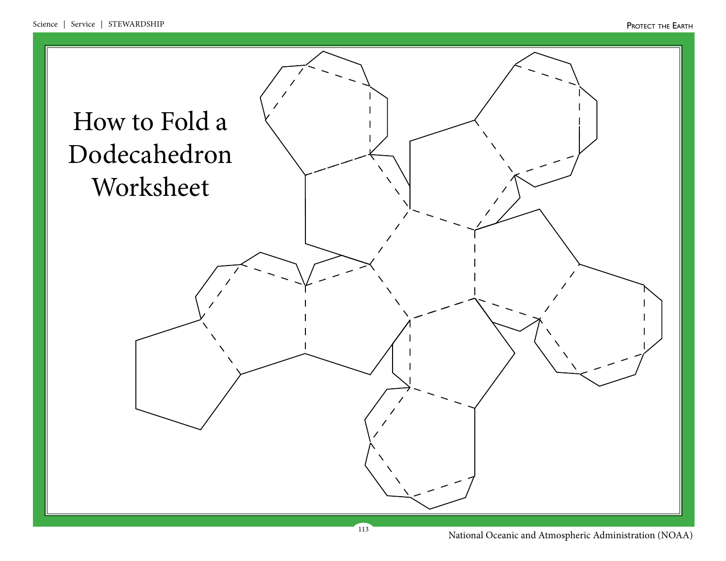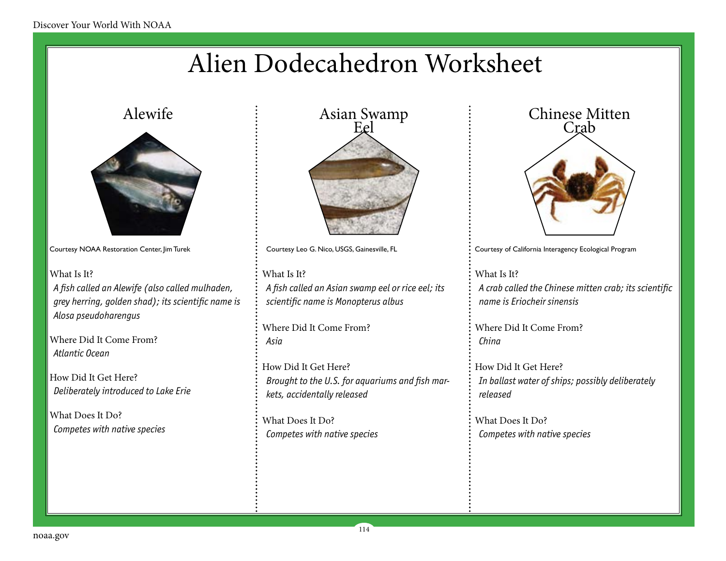## Alien Dodecahedron Worksheet



Courtesy NOAA Restoration Center, Jim Turek

What Is It? *A fish called an Alewife (also called mulhaden, grey herring, golden shad); its scientific name is Alosa pseudoharengus* 

Where Did It Come From? *Atlantic Ocean*

How Did It Get Here? *Deliberately introduced to Lake Erie*

What Does It Do? *Competes with native species*



Courtesy Leo G. Nico, USGS, Gainesville, FL

What Is It? *A fish called an Asian swamp eel or rice eel; its scientific name is Monopterus albus*

Where Did It Come From? *Asia*

How Did It Get Here? *Brought to the U.S. for aquariums and fish markets, accidentally released*

114

What Does It Do? *Competes with native species*



Courtesy of California Interagency Ecological Program

What Is It? *A crab called the Chinese mitten crab; its scientific name is Eriocheir sinensis*

Where Did It Come From? *China*

How Did It Get Here? *In ballast water of ships; possibly deliberately released*

What Does It Do? *Competes with native species*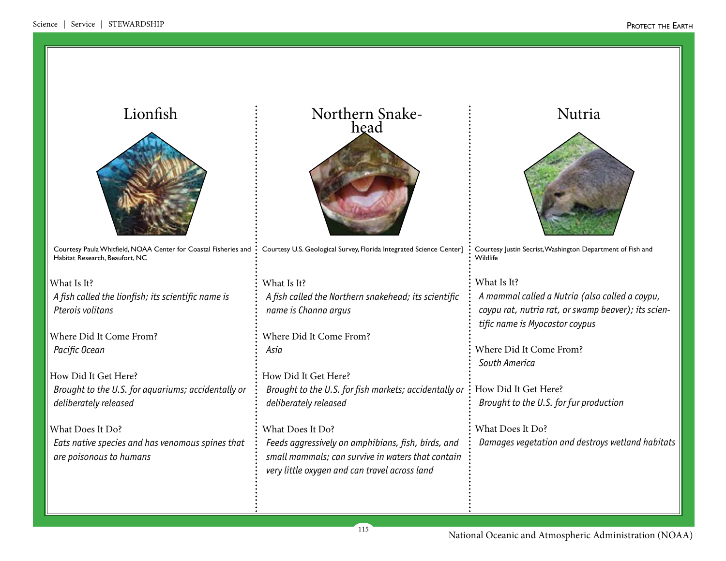| Lionfish                                                                                          | Northern Snake-<br>head                                             | Nutria                                                                 |
|---------------------------------------------------------------------------------------------------|---------------------------------------------------------------------|------------------------------------------------------------------------|
|                                                                                                   |                                                                     |                                                                        |
| Courtesy Paula Whitfield, NOAA Center for Coastal Fisheries and<br>Habitat Research, Beaufort, NC | Courtesy U.S. Geological Survey, Florida Integrated Science Center] | Courtesy Justin Secrist, Washington Department of Fish and<br>Wildlife |
| What Is It?                                                                                       | What Is It?                                                         | What Is It?                                                            |
| A fish called the lionfish; its scientific name is                                                | A fish called the Northern snakehead; its scientific                | A mammal called a Nutria (also called a coypu,                         |
| Pterois volitans                                                                                  | name is Channa argus                                                | coypu rat, nutria rat, or swamp beaver); its scien-                    |
|                                                                                                   |                                                                     | tific name is Myocastor coypus                                         |
| Where Did It Come From?                                                                           | Where Did It Come From?                                             |                                                                        |
| Pacific Ocean                                                                                     | Asia                                                                | Where Did It Come From?                                                |
|                                                                                                   |                                                                     | South America                                                          |
| How Did It Get Here?                                                                              | How Did It Get Here?                                                |                                                                        |
| Brought to the U.S. for aquariums; accidentally or                                                | Brought to the U.S. for fish markets; accidentally or               | How Did It Get Here?                                                   |
| deliberately released                                                                             | deliberately released                                               | Brought to the U.S. for fur production                                 |
| What Does It Do?                                                                                  | What Does It Do?                                                    | What Does It Do?                                                       |
|                                                                                                   |                                                                     |                                                                        |
| Eats native species and has venomous spines that                                                  | Feeds aggressively on amphibians, fish, birds, and                  | Damages vegetation and destroys wetland habitats                       |
| are poisonous to humans                                                                           | small mammals; can survive in waters that contain                   |                                                                        |
|                                                                                                   | very little oxygen and can travel across land                       |                                                                        |
|                                                                                                   |                                                                     |                                                                        |
|                                                                                                   |                                                                     |                                                                        |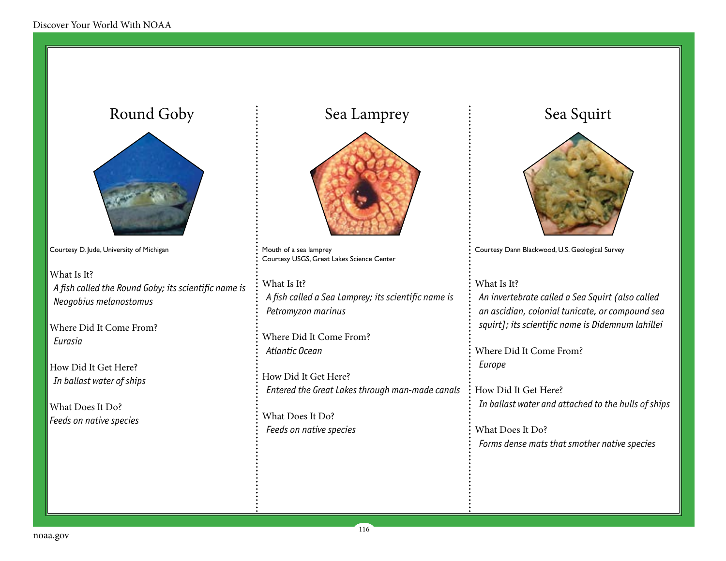## Courtesy D. Jude, University of Michigan What Is It? *A fish called the Round Goby; its scientific name is Neogobius melanostomus* Where Did It Come From? *Eurasia* How Did It Get Here? *In ballast water of ships* What Does It Do? *Feeds on native species* What Is It? Round Goby  $\qquad \qquad \vdots$  Sea Lamprey  $\qquad \qquad \vdots$  Sea Squirt



Mouth of a sea lamprey Courtesy USGS, Great Lakes Science Center

*A fish called a Sea Lamprey; its scientific name is Petromyzon marinus*

Where Did It Come From? *Atlantic Ocean*

How Did It Get Here? *Entered the Great Lakes through man-made canals*

116

What Does It Do? *Feeds on native species*



Courtesy Dann Blackwood, U.S. Geological Survey

What Is It?

*An invertebrate called a Sea Squirt (also called an ascidian, colonial tunicate, or compound sea squirt]; its scientific name is Didemnum lahillei*

Where Did It Come From? *Europe*

How Did It Get Here? *In ballast water and attached to the hulls of ships*

What Does It Do? *Forms dense mats that smother native species*